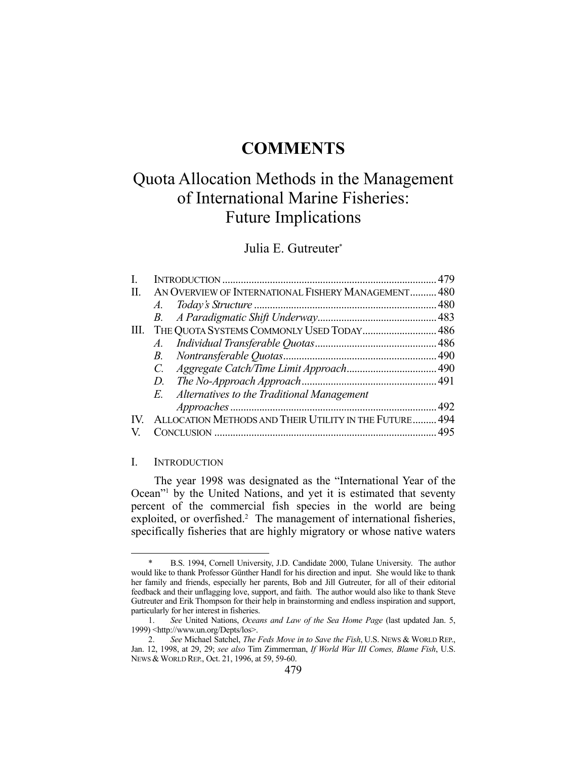# **COMMENTS**

# Quota Allocation Methods in the Management of International Marine Fisheries: Future Implications

# Julia E. Gutreuter\*

| I. |                                                        |  |
|----|--------------------------------------------------------|--|
| H. | AN OVERVIEW OF INTERNATIONAL FISHERY MANAGEMENT 480    |  |
|    |                                                        |  |
|    |                                                        |  |
| Ш. | THE QUOTA SYSTEMS COMMONLY USED TODAY 486              |  |
|    |                                                        |  |
|    |                                                        |  |
|    |                                                        |  |
|    | D.                                                     |  |
|    | E. Alternatives to the Traditional Management          |  |
|    |                                                        |  |
|    | ALLOCATION METHODS AND THEIR UTILITY IN THE FUTURE 494 |  |
|    |                                                        |  |

#### I. INTRODUCTION

1

 The year 1998 was designated as the "International Year of the Ocean"<sup>1</sup> by the United Nations, and yet it is estimated that seventy percent of the commercial fish species in the world are being exploited, or overfished.<sup>2</sup> The management of international fisheries, specifically fisheries that are highly migratory or whose native waters

 <sup>\*</sup> B.S. 1994, Cornell University, J.D. Candidate 2000, Tulane University. The author would like to thank Professor Günther Handl for his direction and input. She would like to thank her family and friends, especially her parents, Bob and Jill Gutreuter, for all of their editorial feedback and their unflagging love, support, and faith. The author would also like to thank Steve Gutreuter and Erik Thompson for their help in brainstorming and endless inspiration and support, particularly for her interest in fisheries.

 <sup>1.</sup> *See* United Nations, *Oceans and Law of the Sea Home Page* (last updated Jan. 5, 1999) <http://www.un.org/Depts/los>.

 <sup>2.</sup> *See* Michael Satchel, *The Feds Move in to Save the Fish*, U.S. NEWS & WORLD REP., Jan. 12, 1998, at 29, 29; *see also* Tim Zimmerman, *If World War III Comes, Blame Fish*, U.S. NEWS & WORLD REP., Oct. 21, 1996, at 59, 59-60.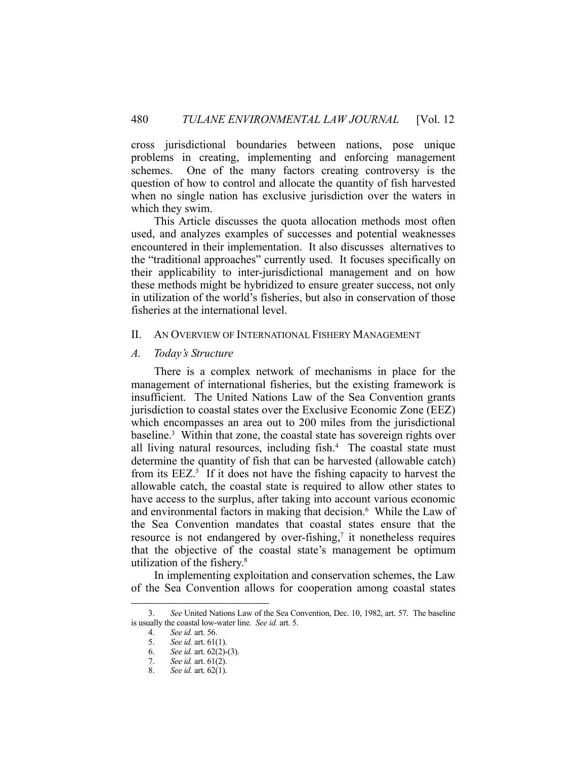cross jurisdictional boundaries between nations, pose unique problems in creating, implementing and enforcing management schemes. One of the many factors creating controversy is the question of how to control and allocate the quantity of fish harvested when no single nation has exclusive jurisdiction over the waters in which they swim.

 This Article discusses the quota allocation methods most often used, and analyzes examples of successes and potential weaknesses encountered in their implementation. It also discusses alternatives to the "traditional approaches" currently used. It focuses specifically on their applicability to inter-jurisdictional management and on how these methods might be hybridized to ensure greater success, not only in utilization of the world's fisheries, but also in conservation of those fisheries at the international level.

#### II. AN OVERVIEW OF INTERNATIONAL FISHERY MANAGEMENT

#### *A. Today's Structure*

 There is a complex network of mechanisms in place for the management of international fisheries, but the existing framework is insufficient. The United Nations Law of the Sea Convention grants jurisdiction to coastal states over the Exclusive Economic Zone (EEZ) which encompasses an area out to 200 miles from the jurisdictional baseline.<sup>3</sup> Within that zone, the coastal state has sovereign rights over all living natural resources, including fish.<sup>4</sup> The coastal state must determine the quantity of fish that can be harvested (allowable catch) from its  $EEZ$ <sup>5</sup>. If it does not have the fishing capacity to harvest the allowable catch, the coastal state is required to allow other states to have access to the surplus, after taking into account various economic and environmental factors in making that decision.<sup>6</sup> While the Law of the Sea Convention mandates that coastal states ensure that the resource is not endangered by over-fishing, $\tau$  it nonetheless requires that the objective of the coastal state's management be optimum utilization of the fishery.8

 In implementing exploitation and conservation schemes, the Law of the Sea Convention allows for cooperation among coastal states

 <sup>3.</sup> *See* United Nations Law of the Sea Convention, Dec. 10, 1982, art. 57. The baseline is usually the coastal low-water line. *See id.* art. 5.

 <sup>4.</sup> *See id.* art. 56.

 <sup>5.</sup> *See id.* art. 61(1).

 <sup>6.</sup> *See id.* art. 62(2)-(3).

 <sup>7.</sup> *See id.* art. 61(2).

 <sup>8.</sup> *See id.* art. 62(1).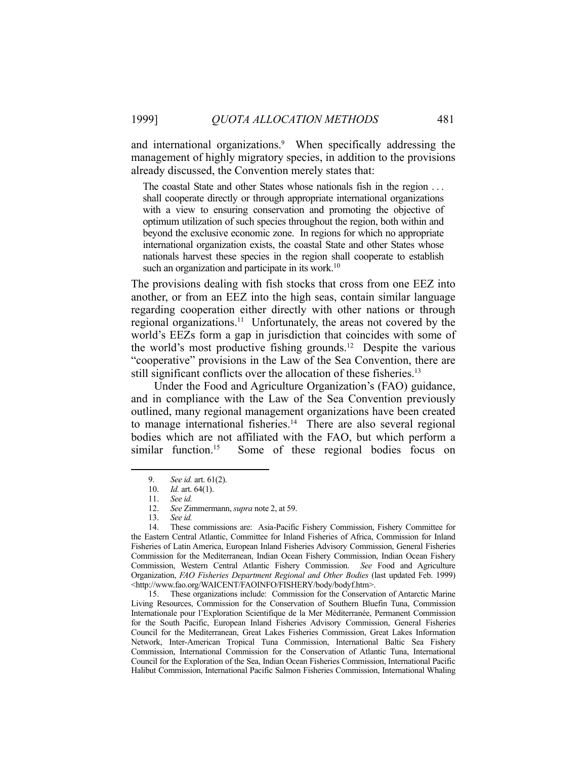and international organizations.<sup>9</sup> When specifically addressing the management of highly migratory species, in addition to the provisions already discussed, the Convention merely states that:

The coastal State and other States whose nationals fish in the region . . . shall cooperate directly or through appropriate international organizations with a view to ensuring conservation and promoting the objective of optimum utilization of such species throughout the region, both within and beyond the exclusive economic zone. In regions for which no appropriate international organization exists, the coastal State and other States whose nationals harvest these species in the region shall cooperate to establish such an organization and participate in its work.<sup>10</sup>

The provisions dealing with fish stocks that cross from one EEZ into another, or from an EEZ into the high seas, contain similar language regarding cooperation either directly with other nations or through regional organizations.11 Unfortunately, the areas not covered by the world's EEZs form a gap in jurisdiction that coincides with some of the world's most productive fishing grounds.12 Despite the various "cooperative" provisions in the Law of the Sea Convention, there are still significant conflicts over the allocation of these fisheries.<sup>13</sup>

 Under the Food and Agriculture Organization's (FAO) guidance, and in compliance with the Law of the Sea Convention previously outlined, many regional management organizations have been created to manage international fisheries.<sup>14</sup> There are also several regional bodies which are not affiliated with the FAO, but which perform a similar function.<sup>15</sup> Some of these regional bodies focus on

1

 15. These organizations include: Commission for the Conservation of Antarctic Marine Living Resources, Commission for the Conservation of Southern Bluefin Tuna, Commission Internationale pour l'Exploration Scientifique de la Mer Méditerranée, Permanent Commission for the South Pacific, European Inland Fisheries Advisory Commission, General Fisheries Council for the Mediterranean, Great Lakes Fisheries Commission, Great Lakes Information Network, Inter-American Tropical Tuna Commission, International Baltic Sea Fishery Commission, International Commission for the Conservation of Atlantic Tuna, International Council for the Exploration of the Sea, Indian Ocean Fisheries Commission, International Pacific Halibut Commission, International Pacific Salmon Fisheries Commission, International Whaling

 <sup>9.</sup> *See id.* art. 61(2).

 <sup>10.</sup> *Id.* art. 64(1).

 <sup>11.</sup> *See id.*

 <sup>12.</sup> *See* Zimmermann, *supra* note 2, at 59.

 <sup>13.</sup> *See id.* 

 <sup>14.</sup> These commissions are: Asia-Pacific Fishery Commission, Fishery Committee for the Eastern Central Atlantic, Committee for Inland Fisheries of Africa, Commission for Inland Fisheries of Latin America, European Inland Fisheries Advisory Commission, General Fisheries Commission for the Mediterranean, Indian Ocean Fishery Commission, Indian Ocean Fishery Commission, Western Central Atlantic Fishery Commission. *See* Food and Agriculture Organization, *FAO Fisheries Department Regional and Other Bodies* (last updated Feb. 1999) <http://www.fao.org/WAICENT/FAOINFO/FISHERY/body/bodyf.htm>.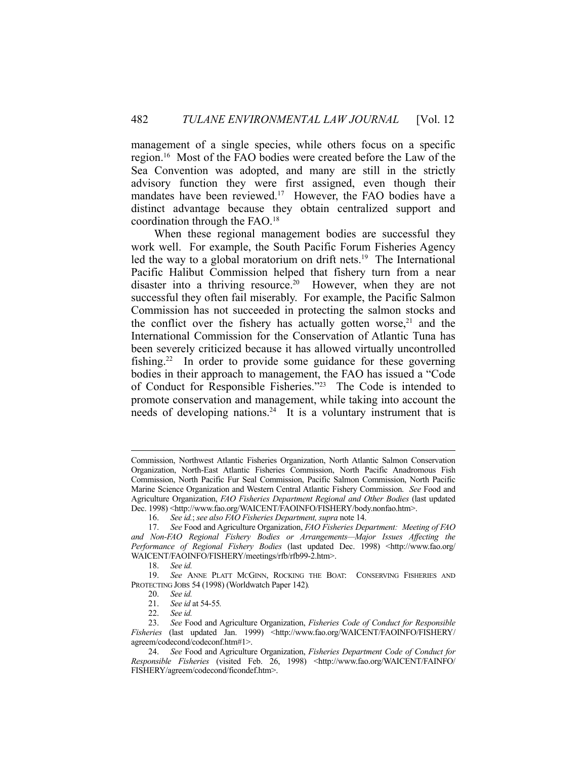management of a single species, while others focus on a specific region.16 Most of the FAO bodies were created before the Law of the Sea Convention was adopted, and many are still in the strictly advisory function they were first assigned, even though their mandates have been reviewed.<sup>17</sup> However, the FAO bodies have a distinct advantage because they obtain centralized support and coordination through the FAO.18

 When these regional management bodies are successful they work well. For example, the South Pacific Forum Fisheries Agency led the way to a global moratorium on drift nets.<sup>19</sup> The International Pacific Halibut Commission helped that fishery turn from a near disaster into a thriving resource.<sup>20</sup> However, when they are not successful they often fail miserably. For example, the Pacific Salmon Commission has not succeeded in protecting the salmon stocks and the conflict over the fishery has actually gotten worse, $21$  and the International Commission for the Conservation of Atlantic Tuna has been severely criticized because it has allowed virtually uncontrolled fishing.22 In order to provide some guidance for these governing bodies in their approach to management, the FAO has issued a "Code of Conduct for Responsible Fisheries."23 The Code is intended to promote conservation and management, while taking into account the needs of developing nations.<sup>24</sup> It is a voluntary instrument that is

Commission, Northwest Atlantic Fisheries Organization, North Atlantic Salmon Conservation Organization, North-East Atlantic Fisheries Commission, North Pacific Anadromous Fish Commission, North Pacific Fur Seal Commission, Pacific Salmon Commission, North Pacific Marine Science Organization and Western Central Atlantic Fishery Commission. *See* Food and Agriculture Organization, *FAO Fisheries Department Regional and Other Bodies* (last updated Dec. 1998) <http://www.fao.org/WAICENT/FAOINFO/FISHERY/body.nonfao.htm>.

 <sup>16.</sup> *See id.*; *see also FAO Fisheries Department, supra* note 14.

 <sup>17.</sup> *See* Food and Agriculture Organization, *FAO Fisheries Department: Meeting of FAO and Non-FAO Regional Fishery Bodies or Arrangements—Major Issues Affecting the*  Performance of Regional Fishery Bodies (last updated Dec. 1998) <http://www.fao.org/ WAICENT/FAOINFO/FISHERY/meetings/rfb/rfb99-2.htm>.

 <sup>18.</sup> *See id.* 

 <sup>19.</sup> *See* ANNE PLATT MCGINN, ROCKING THE BOAT: CONSERVING FISHERIES AND PROTECTING JOBS 54 (1998) (Worldwatch Paper 142)*.* 

 <sup>20.</sup> *See id.*

 <sup>21.</sup> *See id* at 54-55*.*

 <sup>22.</sup> *See id.*

 <sup>23.</sup> *See* Food and Agriculture Organization, *Fisheries Code of Conduct for Responsible Fisheries* (last updated Jan. 1999) <http://www.fao.org/WAICENT/FAOINFO/FISHERY/ agreem/codecond/codeconf.htm#1>.

 <sup>24.</sup> *See* Food and Agriculture Organization, *Fisheries Department Code of Conduct for Responsible Fisheries* (visited Feb. 26, 1998) <http://www.fao.org/WAICENT/FAINFO/ FISHERY/agreem/codecond/ficondef.htm>.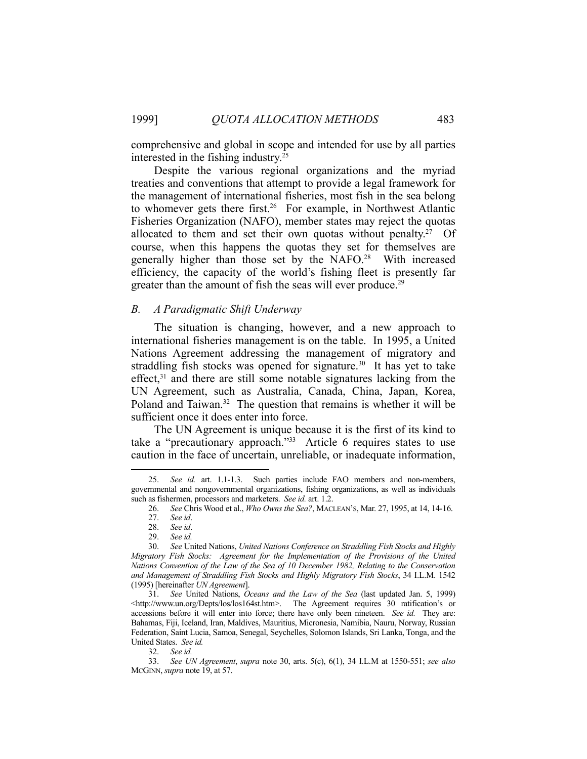comprehensive and global in scope and intended for use by all parties interested in the fishing industry.25

 Despite the various regional organizations and the myriad treaties and conventions that attempt to provide a legal framework for the management of international fisheries, most fish in the sea belong to whomever gets there first.<sup>26</sup> For example, in Northwest Atlantic Fisheries Organization (NAFO), member states may reject the quotas allocated to them and set their own quotas without penalty.<sup>27</sup> Of course, when this happens the quotas they set for themselves are generally higher than those set by the NAFO.28 With increased efficiency, the capacity of the world's fishing fleet is presently far greater than the amount of fish the seas will ever produce.<sup>29</sup>

#### *B. A Paradigmatic Shift Underway*

 The situation is changing, however, and a new approach to international fisheries management is on the table. In 1995, a United Nations Agreement addressing the management of migratory and straddling fish stocks was opened for signature.<sup>30</sup> It has yet to take effect, $31$  and there are still some notable signatures lacking from the UN Agreement, such as Australia, Canada, China, Japan, Korea, Poland and Taiwan.<sup>32</sup> The question that remains is whether it will be sufficient once it does enter into force.

 The UN Agreement is unique because it is the first of its kind to take a "precautionary approach."33 Article 6 requires states to use caution in the face of uncertain, unreliable, or inadequate information,

 <sup>25.</sup> *See id.* art. 1.1-1.3. Such parties include FAO members and non-members, governmental and nongovernmental organizations, fishing organizations, as well as individuals such as fishermen, processors and marketers. *See id.* art. 1.2.

 <sup>26.</sup> *See* Chris Wood et al., *Who Owns the Sea?*, MACLEAN'S, Mar. 27, 1995, at 14, 14-16.

 <sup>27.</sup> *See id*.

 <sup>28.</sup> *See id*.

 <sup>29.</sup> *See id.* 

 <sup>30.</sup> *See* United Nations, *United Nations Conference on Straddling Fish Stocks and Highly Migratory Fish Stocks: Agreement for the Implementation of the Provisions of the United Nations Convention of the Law of the Sea of 10 December 1982, Relating to the Conservation and Management of Straddling Fish Stocks and Highly Migratory Fish Stocks*, 34 I.L.M. 1542 (1995) [hereinafter *UN Agreement*].

 <sup>31.</sup> *See* United Nations, *Oceans and the Law of the Sea* (last updated Jan. 5, 1999) <http://www.un.org/Depts/los/los164st.htm>. The Agreement requires 30 ratification's or accessions before it will enter into force; there have only been nineteen. *See id.* They are: Bahamas, Fiji, Iceland, Iran, Maldives, Mauritius, Micronesia, Namibia, Nauru, Norway, Russian Federation, Saint Lucia, Samoa, Senegal, Seychelles, Solomon Islands, Sri Lanka, Tonga, and the United States. *See id.* 

 <sup>32.</sup> *See id.*

 <sup>33.</sup> *See UN Agreement*, *supra* note 30, arts. 5(c), 6(1), 34 I.L.M at 1550-551; *see also*  MCGINN, *supra* note 19, at 57.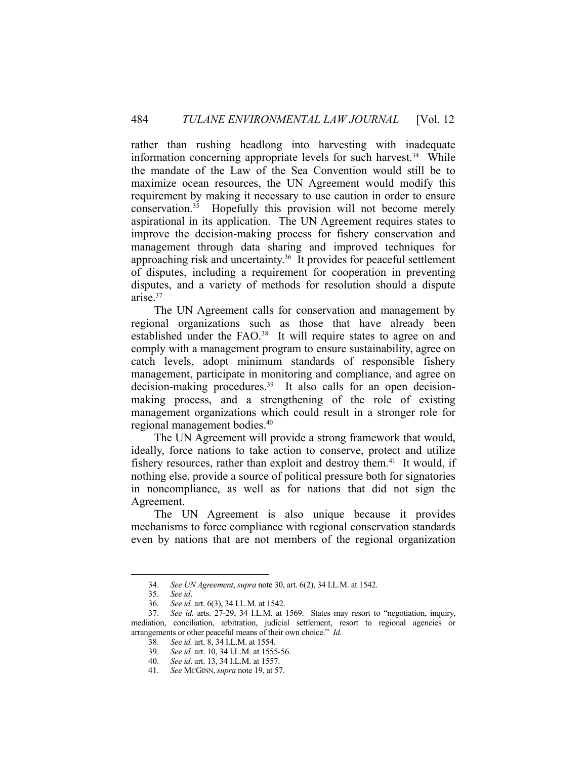rather than rushing headlong into harvesting with inadequate information concerning appropriate levels for such harvest.<sup>34</sup> While the mandate of the Law of the Sea Convention would still be to maximize ocean resources, the UN Agreement would modify this requirement by making it necessary to use caution in order to ensure conservation.35 Hopefully this provision will not become merely aspirational in its application. The UN Agreement requires states to improve the decision-making process for fishery conservation and management through data sharing and improved techniques for approaching risk and uncertainty.36 It provides for peaceful settlement of disputes, including a requirement for cooperation in preventing disputes, and a variety of methods for resolution should a dispute arise.37

 The UN Agreement calls for conservation and management by regional organizations such as those that have already been established under the FAO.<sup>38</sup> It will require states to agree on and comply with a management program to ensure sustainability, agree on catch levels, adopt minimum standards of responsible fishery management, participate in monitoring and compliance, and agree on decision-making procedures.<sup>39</sup> It also calls for an open decisionmaking process, and a strengthening of the role of existing management organizations which could result in a stronger role for regional management bodies.40

 The UN Agreement will provide a strong framework that would, ideally, force nations to take action to conserve, protect and utilize fishery resources, rather than exploit and destroy them.<sup>41</sup> It would, if nothing else, provide a source of political pressure both for signatories in noncompliance, as well as for nations that did not sign the Agreement.

 The UN Agreement is also unique because it provides mechanisms to force compliance with regional conservation standards even by nations that are not members of the regional organization

 <sup>34.</sup> *See UN Agreement*, *supra* note 30, art. 6(2), 34 I.L.M. at 1542.

 <sup>35.</sup> *See id*.

 <sup>36.</sup> *See id.* art. 6(3), 34 I.L.M. at 1542.

 <sup>37.</sup> *See id.* arts. 27-29, 34 I.L.M. at 1569. States may resort to "negotiation, inquiry, mediation, conciliation, arbitration, judicial settlement, resort to regional agencies or arrangements or other peaceful means of their own choice." *Id.*

 <sup>38.</sup> *See id.* art. 8, 34 I.L.M. at 1554.

 <sup>39.</sup> *See id.* art. 10, 34 I.L.M. at 1555-56.

 <sup>40.</sup> *See id*. art. 13, 34 I.L.M. at 1557.

 <sup>41.</sup> *See* MCGINN,*supra* note 19, at 57.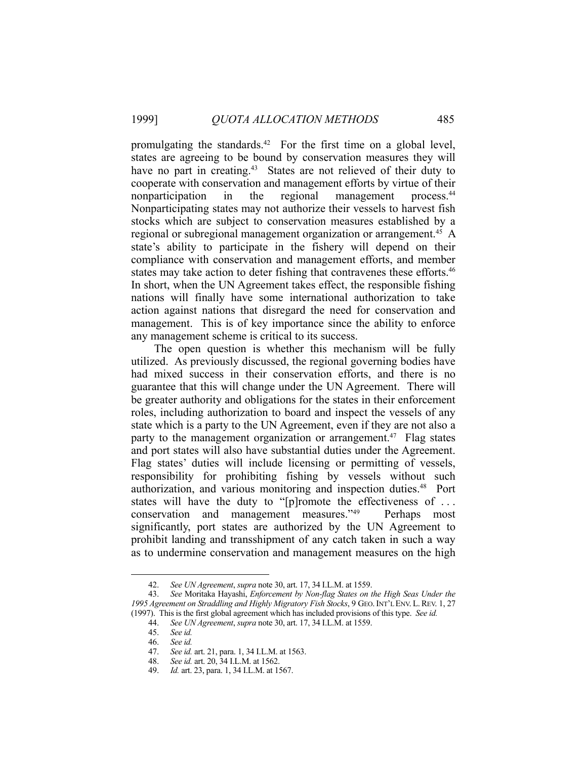promulgating the standards.<sup>42</sup> For the first time on a global level, states are agreeing to be bound by conservation measures they will have no part in creating.<sup>43</sup> States are not relieved of their duty to cooperate with conservation and management efforts by virtue of their nonparticipation in the regional management process.<sup>44</sup> Nonparticipating states may not authorize their vessels to harvest fish stocks which are subject to conservation measures established by a regional or subregional management organization or arrangement.<sup>45</sup> A state's ability to participate in the fishery will depend on their compliance with conservation and management efforts, and member states may take action to deter fishing that contravenes these efforts.<sup>46</sup> In short, when the UN Agreement takes effect, the responsible fishing nations will finally have some international authorization to take action against nations that disregard the need for conservation and management. This is of key importance since the ability to enforce any management scheme is critical to its success.

 The open question is whether this mechanism will be fully utilized. As previously discussed, the regional governing bodies have had mixed success in their conservation efforts, and there is no guarantee that this will change under the UN Agreement. There will be greater authority and obligations for the states in their enforcement roles, including authorization to board and inspect the vessels of any state which is a party to the UN Agreement, even if they are not also a party to the management organization or arrangement.<sup>47</sup> Flag states and port states will also have substantial duties under the Agreement. Flag states' duties will include licensing or permitting of vessels, responsibility for prohibiting fishing by vessels without such authorization, and various monitoring and inspection duties.<sup>48</sup> Port states will have the duty to "[p]romote the effectiveness of . . . conservation and management measures."49 Perhaps most significantly, port states are authorized by the UN Agreement to prohibit landing and transshipment of any catch taken in such a way as to undermine conservation and management measures on the high

 <sup>42.</sup> *See UN Agreement*, *supra* note 30, art. 17, 34 I.L.M. at 1559.

 <sup>43.</sup> *See* Moritaka Hayashi, *Enforcement by Non-flag States on the High Seas Under the 1995 Agreement on Straddling and Highly Migratory Fish Stocks*, 9 GEO. INT'L ENV. L.REV. 1, 27 (1997). This is the first global agreement which has included provisions of this type. *See id.*

 <sup>44.</sup> *See UN Agreement*, *supra* note 30, art. 17, 34 I.L.M. at 1559.

 <sup>45.</sup> *See id.* 

 <sup>46.</sup> *See id.*

 <sup>47.</sup> *See id.* art. 21, para. 1, 34 I.L.M. at 1563.

 <sup>48.</sup> *See id.* art. 20, 34 I.L.M. at 1562.

 <sup>49.</sup> *Id.* art. 23, para. 1, 34 I.L.M. at 1567.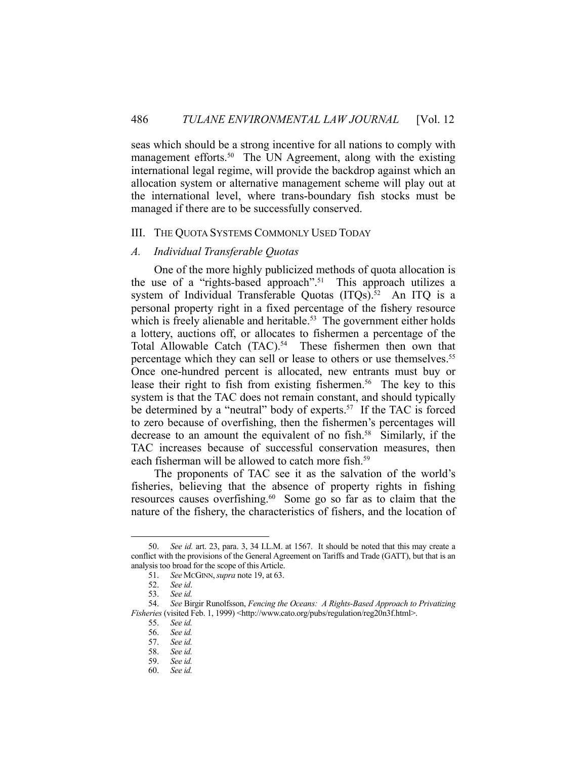seas which should be a strong incentive for all nations to comply with management efforts.<sup>50</sup> The UN Agreement, along with the existing international legal regime, will provide the backdrop against which an allocation system or alternative management scheme will play out at the international level, where trans-boundary fish stocks must be managed if there are to be successfully conserved.

#### III. THE QUOTA SYSTEMS COMMONLY USED TODAY

#### *A. Individual Transferable Quotas*

 One of the more highly publicized methods of quota allocation is the use of a "rights-based approach".51 This approach utilizes a system of Individual Transferable Quotas (ITQs).<sup>52</sup> An ITQ is a personal property right in a fixed percentage of the fishery resource which is freely alienable and heritable.<sup>53</sup> The government either holds a lottery, auctions off, or allocates to fishermen a percentage of the Total Allowable Catch (TAC).<sup>54</sup> These fishermen then own that percentage which they can sell or lease to others or use themselves.<sup>55</sup> Once one-hundred percent is allocated, new entrants must buy or lease their right to fish from existing fishermen.<sup>56</sup> The key to this system is that the TAC does not remain constant, and should typically be determined by a "neutral" body of experts.<sup>57</sup> If the TAC is forced to zero because of overfishing, then the fishermen's percentages will decrease to an amount the equivalent of no fish.<sup>58</sup> Similarly, if the TAC increases because of successful conservation measures, then each fisherman will be allowed to catch more fish.<sup>59</sup>

 The proponents of TAC see it as the salvation of the world's fisheries, believing that the absence of property rights in fishing resources causes overfishing.<sup>60</sup> Some go so far as to claim that the nature of the fishery, the characteristics of fishers, and the location of

 <sup>50.</sup> *See id.* art. 23, para. 3, 34 I.L.M. at 1567. It should be noted that this may create a conflict with the provisions of the General Agreement on Tariffs and Trade (GATT), but that is an analysis too broad for the scope of this Article.

 <sup>51.</sup> *See* MCGINN,*supra* note 19, at 63.

 <sup>52.</sup> *See id*.

 <sup>53.</sup> *See id.* 

 <sup>54.</sup> *See* Birgir Runolfsson, *Fencing the Oceans: A Rights-Based Approach to Privatizing Fisheries* (visited Feb. 1, 1999) <http://www.cato.org/pubs/regulation/reg20n3f.html>.

 <sup>55.</sup> *See id.* 

 <sup>56.</sup> *See id.* 

 <sup>57.</sup> *See id.*

 <sup>58.</sup> *See id.* 

 <sup>59.</sup> *See id.* 

 <sup>60.</sup> *See id.*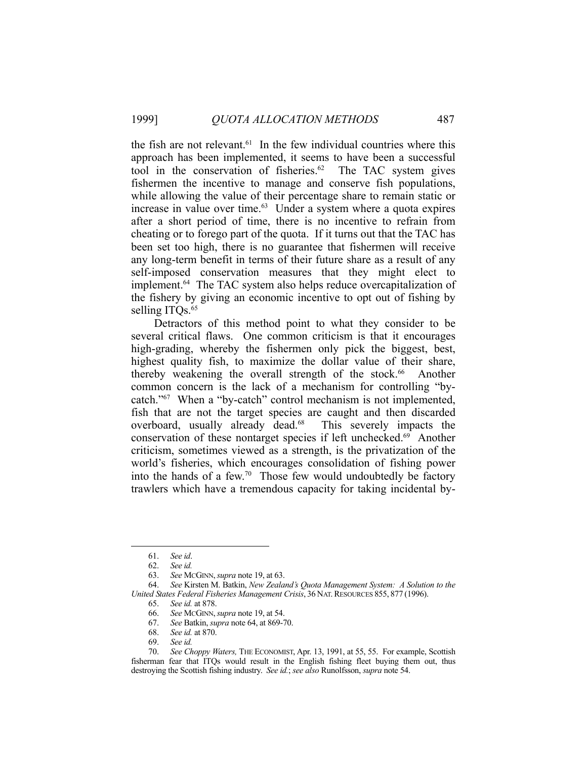the fish are not relevant. $61$  In the few individual countries where this approach has been implemented, it seems to have been a successful tool in the conservation of fisheries. $62$  The TAC system gives fishermen the incentive to manage and conserve fish populations, while allowing the value of their percentage share to remain static or increase in value over time. $63$  Under a system where a quota expires after a short period of time, there is no incentive to refrain from cheating or to forego part of the quota. If it turns out that the TAC has been set too high, there is no guarantee that fishermen will receive any long-term benefit in terms of their future share as a result of any self-imposed conservation measures that they might elect to implement.64 The TAC system also helps reduce overcapitalization of the fishery by giving an economic incentive to opt out of fishing by selling ITQs.<sup>65</sup>

 Detractors of this method point to what they consider to be several critical flaws. One common criticism is that it encourages high-grading, whereby the fishermen only pick the biggest, best, highest quality fish, to maximize the dollar value of their share, thereby weakening the overall strength of the stock.<sup>66</sup> Another common concern is the lack of a mechanism for controlling "bycatch."67 When a "by-catch" control mechanism is not implemented, fish that are not the target species are caught and then discarded overboard, usually already dead.<sup>68</sup> This severely impacts the conservation of these nontarget species if left unchecked.69 Another criticism, sometimes viewed as a strength, is the privatization of the world's fisheries, which encourages consolidation of fishing power into the hands of a few.70 Those few would undoubtedly be factory trawlers which have a tremendous capacity for taking incidental by-

<u>.</u>

69. *See id.* 

 <sup>61.</sup> *See id*.

 <sup>62.</sup> *See id.*

 <sup>63.</sup> *See* MCGINN,*supra* note 19, at 63.

 <sup>64.</sup> *See* Kirsten M. Batkin, *New Zealand's Quota Management System: A Solution to the United States Federal Fisheries Management Crisis*, 36 NAT. RESOURCES 855, 877 (1996).

 <sup>65.</sup> *See id.* at 878.

 <sup>66.</sup> *See* MCGINN,*supra* note 19, at 54.

 <sup>67.</sup> *See* Batkin, *supra* note 64, at 869-70.

 <sup>68.</sup> *See id.* at 870.

 <sup>70.</sup> *See Choppy Waters,* THE ECONOMIST, Apr. 13, 1991, at 55, 55. For example, Scottish fisherman fear that ITQs would result in the English fishing fleet buying them out, thus destroying the Scottish fishing industry. *See id.*; *see also* Runolfsson, *supra* note 54.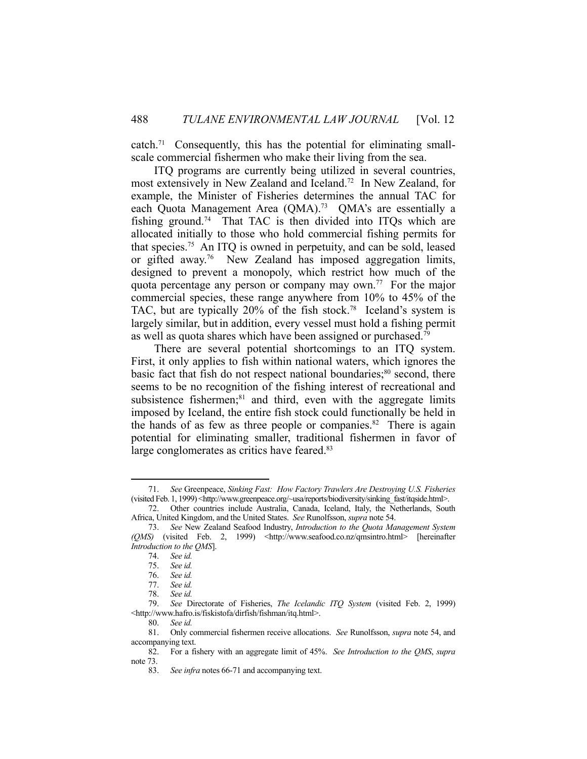$catch.<sup>71</sup> Consequently, this has the potential for eliminating small$ scale commercial fishermen who make their living from the sea.

 ITQ programs are currently being utilized in several countries, most extensively in New Zealand and Iceland.<sup>72</sup> In New Zealand, for example, the Minister of Fisheries determines the annual TAC for each Quota Management Area (QMA).<sup>73</sup> QMA's are essentially a fishing ground.74 That TAC is then divided into ITQs which are allocated initially to those who hold commercial fishing permits for that species.75 An ITQ is owned in perpetuity, and can be sold, leased or gifted away.76 New Zealand has imposed aggregation limits, designed to prevent a monopoly, which restrict how much of the quota percentage any person or company may own.<sup>77</sup> For the major commercial species, these range anywhere from 10% to 45% of the TAC, but are typically 20% of the fish stock.<sup>78</sup> Iceland's system is largely similar, but in addition, every vessel must hold a fishing permit as well as quota shares which have been assigned or purchased.<sup>79</sup>

 There are several potential shortcomings to an ITQ system. First, it only applies to fish within national waters, which ignores the basic fact that fish do not respect national boundaries;<sup>80</sup> second, there seems to be no recognition of the fishing interest of recreational and subsistence fishermen;<sup>81</sup> and third, even with the aggregate limits imposed by Iceland, the entire fish stock could functionally be held in the hands of as few as three people or companies.<sup>82</sup> There is again potential for eliminating smaller, traditional fishermen in favor of large conglomerates as critics have feared.<sup>83</sup>

 <sup>71.</sup> *See* Greenpeace, *Sinking Fast: How Factory Trawlers Are Destroying U.S. Fisheries* (visited Feb. 1, 1999) <http://www.greenpeace.org/~usa/reports/biodiversity/sinking\_fast/itqside.html>.

 <sup>72.</sup> Other countries include Australia, Canada, Iceland, Italy, the Netherlands, South Africa, United Kingdom, and the United States. *See* Runolfsson, *supra* note 54.

 <sup>73.</sup> *See* New Zealand Seafood Industry, *Introduction to the Quota Management System (QMS)* (visited Feb. 2, 1999) <http://www.seafood.co.nz/qmsintro.html> [hereinafter *Introduction to the QMS*].

 <sup>74.</sup> *See id.* 

 <sup>75.</sup> *See id.* 

 <sup>76.</sup> *See id.* 

 <sup>77.</sup> *See id.*

 <sup>78.</sup> *See id.*

 <sup>79.</sup> *See* Directorate of Fisheries, *The Icelandic ITQ System* (visited Feb. 2, 1999) <http://www.hafro.is/fiskistofa/dirfish/fishman/itq.html>.

 <sup>80.</sup> *See id.*

 <sup>81.</sup> Only commercial fishermen receive allocations. *See* Runolfsson, *supra* note 54, and accompanying text.

 <sup>82.</sup> For a fishery with an aggregate limit of 45%. *See Introduction to the QMS*, *supra*  note 73.

 <sup>83.</sup> *See infra* notes 66-71 and accompanying text.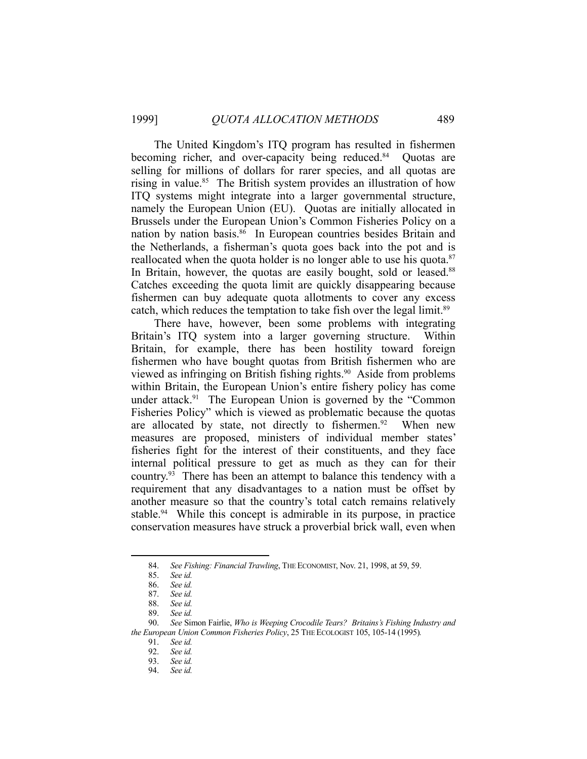The United Kingdom's ITQ program has resulted in fishermen becoming richer, and over-capacity being reduced.<sup>84</sup> Quotas are selling for millions of dollars for rarer species, and all quotas are rising in value.<sup>85</sup> The British system provides an illustration of how ITQ systems might integrate into a larger governmental structure, namely the European Union (EU). Quotas are initially allocated in Brussels under the European Union's Common Fisheries Policy on a nation by nation basis. $86$  In European countries besides Britain and the Netherlands, a fisherman's quota goes back into the pot and is reallocated when the quota holder is no longer able to use his quota. $87$ In Britain, however, the quotas are easily bought, sold or leased.<sup>88</sup> Catches exceeding the quota limit are quickly disappearing because fishermen can buy adequate quota allotments to cover any excess catch, which reduces the temptation to take fish over the legal limit.<sup>89</sup>

 There have, however, been some problems with integrating Britain's ITQ system into a larger governing structure. Within Britain, for example, there has been hostility toward foreign fishermen who have bought quotas from British fishermen who are viewed as infringing on British fishing rights.<sup>90</sup> Aside from problems within Britain, the European Union's entire fishery policy has come under attack.<sup>91</sup> The European Union is governed by the "Common Fisheries Policy" which is viewed as problematic because the quotas are allocated by state, not directly to fishermen.<sup>92</sup> When new measures are proposed, ministers of individual member states' fisheries fight for the interest of their constituents, and they face internal political pressure to get as much as they can for their country.<sup>93</sup> There has been an attempt to balance this tendency with a requirement that any disadvantages to a nation must be offset by another measure so that the country's total catch remains relatively stable.<sup>94</sup> While this concept is admirable in its purpose, in practice conservation measures have struck a proverbial brick wall, even when

 <sup>84.</sup> *See Fishing: Financial Trawling*, THE ECONOMIST, Nov. 21, 1998, at 59, 59.

 <sup>85.</sup> *See id.* 

 <sup>86.</sup> *See id.* 

 <sup>87.</sup> *See id.* 

 <sup>88.</sup> *See id.*

 <sup>89.</sup> *See id.*

 <sup>90.</sup> *See* Simon Fairlie, *Who is Weeping Crocodile Tears? Britains's Fishing Industry and the European Union Common Fisheries Policy*, 25 THE ECOLOGIST 105, 105-14 (1995)*.*

 <sup>91.</sup> *See id.* 92. *See id.* 

 <sup>93.</sup> *See id.* 

 <sup>94.</sup> *See id.*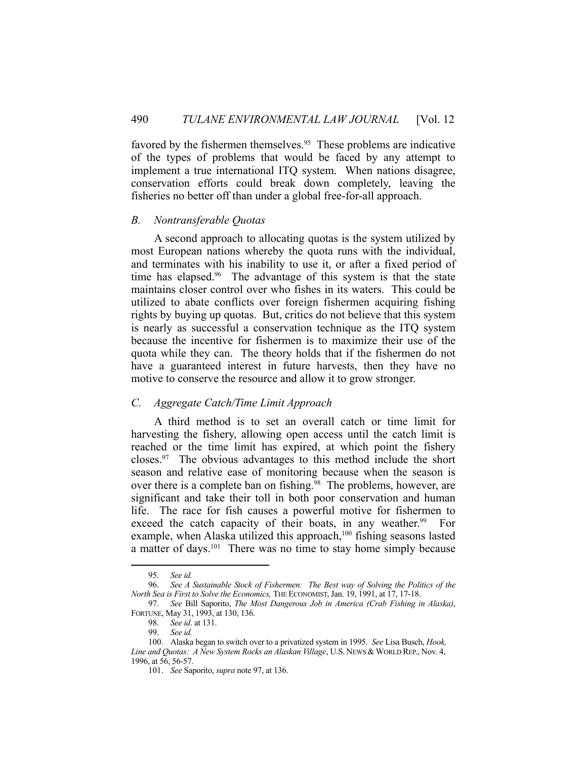favored by the fishermen themselves.<sup>95</sup> These problems are indicative of the types of problems that would be faced by any attempt to implement a true international ITQ system. When nations disagree, conservation efforts could break down completely, leaving the fisheries no better off than under a global free-for-all approach.

#### *B. Nontransferable Quotas*

 A second approach to allocating quotas is the system utilized by most European nations whereby the quota runs with the individual, and terminates with his inability to use it, or after a fixed period of time has elapsed.<sup>96</sup> The advantage of this system is that the state maintains closer control over who fishes in its waters. This could be utilized to abate conflicts over foreign fishermen acquiring fishing rights by buying up quotas. But, critics do not believe that this system is nearly as successful a conservation technique as the ITQ system because the incentive for fishermen is to maximize their use of the quota while they can. The theory holds that if the fishermen do not have a guaranteed interest in future harvests, then they have no motive to conserve the resource and allow it to grow stronger.

## *C. Aggregate Catch/Time Limit Approach*

 A third method is to set an overall catch or time limit for harvesting the fishery, allowing open access until the catch limit is reached or the time limit has expired, at which point the fishery closes.97 The obvious advantages to this method include the short season and relative ease of monitoring because when the season is over there is a complete ban on fishing.<sup>98</sup> The problems, however, are significant and take their toll in both poor conservation and human life. The race for fish causes a powerful motive for fishermen to exceed the catch capacity of their boats, in any weather.<sup>99</sup> For example, when Alaska utilized this approach,<sup>100</sup> fishing seasons lasted a matter of days.<sup>101</sup> There was no time to stay home simply because

 <sup>95.</sup> *See id.* 

 <sup>96.</sup> *See A Sustainable Stock of Fishermen: The Best way of Solving the Politics of the North Sea is First to Solve the Economics,* THE ECONOMIST, Jan. 19, 1991, at 17, 17-18.

 <sup>97.</sup> *See* Bill Saporito, *The Most Dangerous Job in America (Crab Fishing in Alaska)*, FORTUNE, May 31, 1993, at 130, 136.

 <sup>98.</sup> *See id*. at 131.

 <sup>99.</sup> *See id.* 

 <sup>100.</sup> Alaska began to switch over to a privatized system in 1995. *See* Lisa Busch, *Hook,*  Line and Quotas: A New System Rocks an Alaskan Village, U.S. NEWS & WORLD REP., Nov. 4, 1996, at 56, 56-57.

 <sup>101.</sup> *See* Saporito, *supra* note 97, at 136.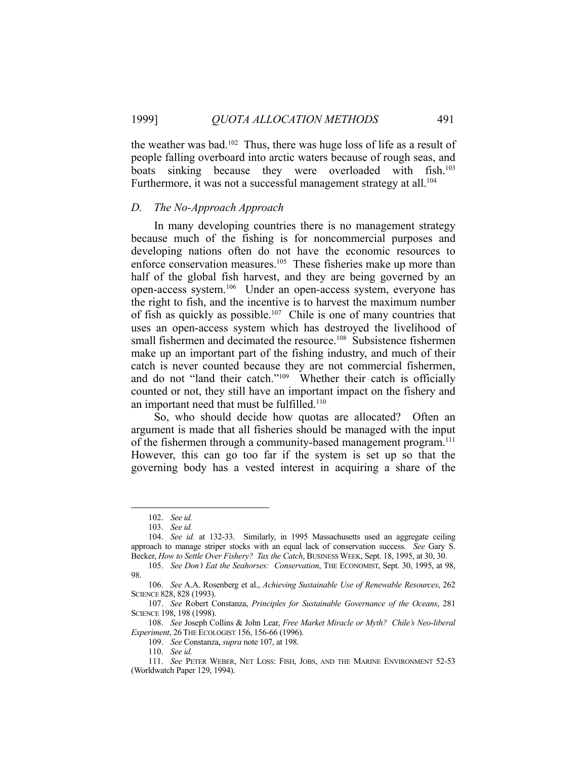the weather was bad.<sup>102</sup> Thus, there was huge loss of life as a result of people falling overboard into arctic waters because of rough seas, and boats sinking because they were overloaded with fish.<sup>103</sup> Furthermore, it was not a successful management strategy at all.<sup>104</sup>

#### *D. The No-Approach Approach*

 In many developing countries there is no management strategy because much of the fishing is for noncommercial purposes and developing nations often do not have the economic resources to enforce conservation measures.<sup>105</sup> These fisheries make up more than half of the global fish harvest, and they are being governed by an open-access system.106 Under an open-access system, everyone has the right to fish, and the incentive is to harvest the maximum number of fish as quickly as possible.<sup>107</sup> Chile is one of many countries that uses an open-access system which has destroyed the livelihood of small fishermen and decimated the resource.<sup>108</sup> Subsistence fishermen make up an important part of the fishing industry, and much of their catch is never counted because they are not commercial fishermen, and do not "land their catch."109 Whether their catch is officially counted or not, they still have an important impact on the fishery and an important need that must be fulfilled.<sup>110</sup>

 So, who should decide how quotas are allocated? Often an argument is made that all fisheries should be managed with the input of the fishermen through a community-based management program.<sup>111</sup> However, this can go too far if the system is set up so that the governing body has a vested interest in acquiring a share of the

1

 108. *See* Joseph Collins & John Lear, *Free Market Miracle or Myth? Chile's Neo-liberal Experiment*, 26THE ECOLOGIST 156, 156-66 (1996).

109. *See* Constanza, *supra* note 107, at 198.

 <sup>102.</sup> *See id.* 

 <sup>103.</sup> *See id.* 

 <sup>104.</sup> *See id.* at 132-33. Similarly, in 1995 Massachusetts used an aggregate ceiling approach to manage striper stocks with an equal lack of conservation success. *See* Gary S. Becker, *How to Settle Over Fishery? Tax the Catch*, BUSINESS WEEK, Sept. 18, 1995, at 30, 30.

 <sup>105.</sup> *See Don't Eat the Seahorses: Conservation*, THE ECONOMIST, Sept. 30, 1995, at 98, 98.

 <sup>106.</sup> *See* A.A. Rosenberg et al., *Achieving Sustainable Use of Renewable Resources*, 262 SCIENCE 828, 828 (1993).

 <sup>107.</sup> *See* Robert Constanza, *Principles for Sustainable Governance of the Oceans*, 281 SCIENCE 198, 198 (1998).

 <sup>110.</sup> *See id.*

 <sup>111.</sup> *See* PETER WEBER, NET LOSS: FISH, JOBS, AND THE MARINE ENVIRONMENT 52-53 (Worldwatch Paper 129, 1994).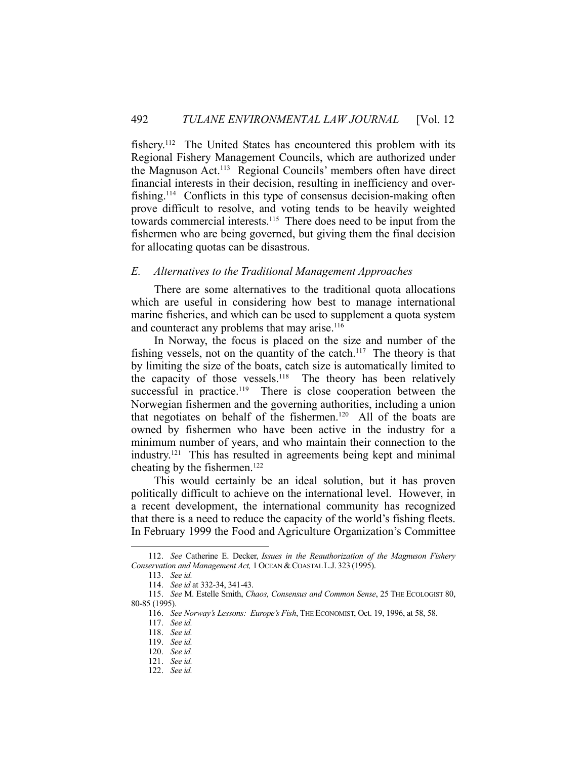fishery.112 The United States has encountered this problem with its Regional Fishery Management Councils, which are authorized under the Magnuson Act.113 Regional Councils' members often have direct financial interests in their decision, resulting in inefficiency and overfishing.114 Conflicts in this type of consensus decision-making often prove difficult to resolve, and voting tends to be heavily weighted towards commercial interests.115 There does need to be input from the fishermen who are being governed, but giving them the final decision for allocating quotas can be disastrous.

#### *E. Alternatives to the Traditional Management Approaches*

 There are some alternatives to the traditional quota allocations which are useful in considering how best to manage international marine fisheries, and which can be used to supplement a quota system and counteract any problems that may arise.<sup>116</sup>

 In Norway, the focus is placed on the size and number of the fishing vessels, not on the quantity of the catch.<sup>117</sup> The theory is that by limiting the size of the boats, catch size is automatically limited to the capacity of those vessels.<sup>118</sup> The theory has been relatively successful in practice.<sup>119</sup> There is close cooperation between the Norwegian fishermen and the governing authorities, including a union that negotiates on behalf of the fishermen.120 All of the boats are owned by fishermen who have been active in the industry for a minimum number of years, and who maintain their connection to the industry.121 This has resulted in agreements being kept and minimal cheating by the fishermen.<sup>122</sup>

 This would certainly be an ideal solution, but it has proven politically difficult to achieve on the international level. However, in a recent development, the international community has recognized that there is a need to reduce the capacity of the world's fishing fleets. In February 1999 the Food and Agriculture Organization's Committee

 <sup>112.</sup> *See* Catherine E. Decker, *Issues in the Reauthorization of the Magnuson Fishery Conservation and Management Act,* 1 OCEAN & COASTAL L.J. 323 (1995).

 <sup>113.</sup> *See id.*

 <sup>114.</sup> *See id* at 332-34, 341-43.

 <sup>115.</sup> *See* M. Estelle Smith, *Chaos, Consensus and Common Sense*, 25 THE ECOLOGIST 80, 80-85 (1995).

 <sup>116.</sup> *See Norway's Lessons: Europe's Fish*, THE ECONOMIST, Oct. 19, 1996, at 58, 58.

 <sup>117.</sup> *See id.* 

 <sup>118.</sup> *See id.* 

 <sup>119.</sup> *See id.* 

 <sup>120.</sup> *See id.*  121. *See id.* 

 <sup>122.</sup> *See id.*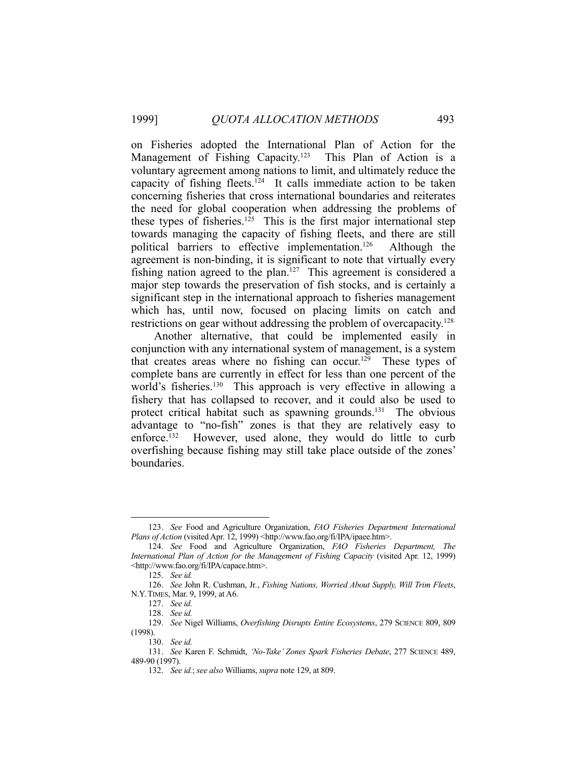on Fisheries adopted the International Plan of Action for the Management of Fishing Capacity.<sup>123</sup> This Plan of Action is a voluntary agreement among nations to limit, and ultimately reduce the capacity of fishing fleets.<sup>124</sup> It calls immediate action to be taken concerning fisheries that cross international boundaries and reiterates the need for global cooperation when addressing the problems of these types of fisheries.<sup>125</sup> This is the first major international step towards managing the capacity of fishing fleets, and there are still political barriers to effective implementation.<sup>126</sup> Although the agreement is non-binding, it is significant to note that virtually every fishing nation agreed to the plan.<sup>127</sup> This agreement is considered a major step towards the preservation of fish stocks, and is certainly a significant step in the international approach to fisheries management which has, until now, focused on placing limits on catch and restrictions on gear without addressing the problem of overcapacity.<sup>128</sup>

 Another alternative, that could be implemented easily in conjunction with any international system of management, is a system that creates areas where no fishing can occur.<sup>129</sup> These types of complete bans are currently in effect for less than one percent of the world's fisheries.<sup>130</sup> This approach is very effective in allowing a fishery that has collapsed to recover, and it could also be used to protect critical habitat such as spawning grounds.<sup>131</sup> The obvious advantage to "no-fish" zones is that they are relatively easy to enforce.<sup>132</sup> However, used alone, they would do little to curb overfishing because fishing may still take place outside of the zones' boundaries.

 <sup>123.</sup> *See* Food and Agriculture Organization, *FAO Fisheries Department International Plans of Action* (visited Apr. 12, 1999) <http://www.fao.org/fi/IPA/ipaee.htm>.

 <sup>124.</sup> *See* Food and Agriculture Organization, *FAO Fisheries Department, The International Plan of Action for the Management of Fishing Capacity* (visited Apr. 12, 1999) <http://www.fao.org/fi/IPA/capace.htm>.

 <sup>125.</sup> *See id.*

 <sup>126.</sup> *See* John R. Cushman, Jr*.*, *Fishing Nations, Worried About Supply, Will Trim Fleets*, N.Y.TIMES, Mar. 9, 1999, at A6.

 <sup>127.</sup> *See id.* 

 <sup>128.</sup> *See id.*

 <sup>129.</sup> *See* Nigel Williams, *Overfishing Disrupts Entire Ecosystems*, 279 SCIENCE 809, 809 (1998).

 <sup>130.</sup> *See id.* 

 <sup>131.</sup> *See* Karen F. Schmidt, *'No-Take' Zones Spark Fisheries Debate*, 277 SCIENCE 489, 489-90 (1997).

 <sup>132.</sup> *See id.*; *see also* Williams, *supra* note 129, at 809.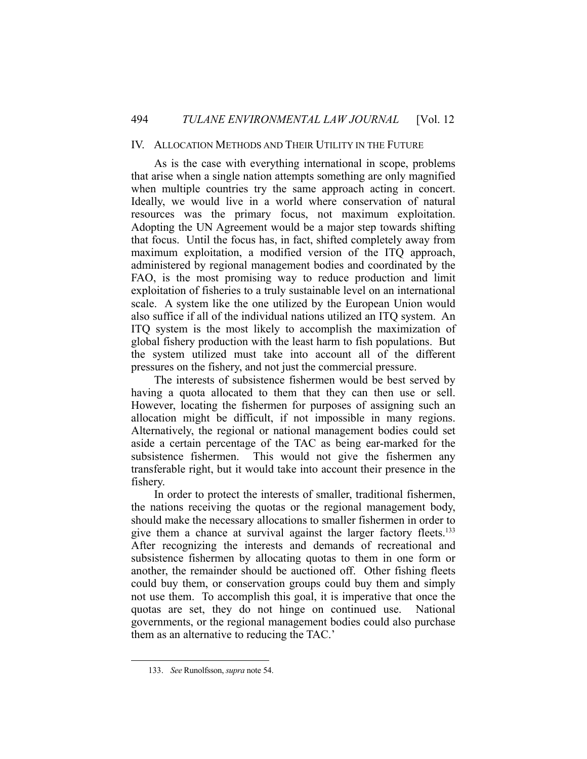## IV. ALLOCATION METHODS AND THEIR UTILITY IN THE FUTURE

 As is the case with everything international in scope, problems that arise when a single nation attempts something are only magnified when multiple countries try the same approach acting in concert. Ideally, we would live in a world where conservation of natural resources was the primary focus, not maximum exploitation. Adopting the UN Agreement would be a major step towards shifting that focus. Until the focus has, in fact, shifted completely away from maximum exploitation, a modified version of the ITQ approach, administered by regional management bodies and coordinated by the FAO, is the most promising way to reduce production and limit exploitation of fisheries to a truly sustainable level on an international scale. A system like the one utilized by the European Union would also suffice if all of the individual nations utilized an ITQ system. An ITQ system is the most likely to accomplish the maximization of global fishery production with the least harm to fish populations. But the system utilized must take into account all of the different pressures on the fishery, and not just the commercial pressure.

 The interests of subsistence fishermen would be best served by having a quota allocated to them that they can then use or sell. However, locating the fishermen for purposes of assigning such an allocation might be difficult, if not impossible in many regions. Alternatively, the regional or national management bodies could set aside a certain percentage of the TAC as being ear-marked for the subsistence fishermen. This would not give the fishermen any transferable right, but it would take into account their presence in the fishery.

 In order to protect the interests of smaller, traditional fishermen, the nations receiving the quotas or the regional management body, should make the necessary allocations to smaller fishermen in order to give them a chance at survival against the larger factory fleets.<sup>133</sup> After recognizing the interests and demands of recreational and subsistence fishermen by allocating quotas to them in one form or another, the remainder should be auctioned off. Other fishing fleets could buy them, or conservation groups could buy them and simply not use them. To accomplish this goal, it is imperative that once the quotas are set, they do not hinge on continued use. National governments, or the regional management bodies could also purchase them as an alternative to reducing the TAC.'

 <sup>133.</sup> *See* Runolfsson, *supra* note 54.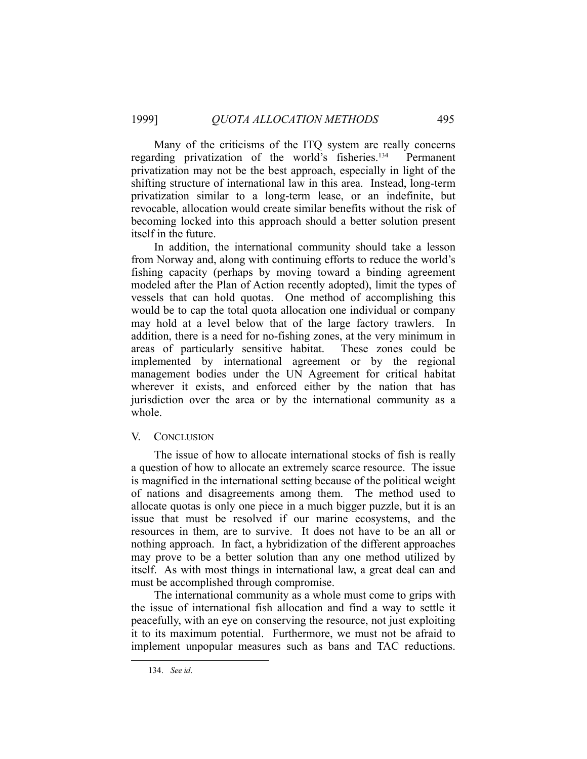Many of the criticisms of the ITQ system are really concerns regarding privatization of the world's fisheries.<sup>134</sup> Permanent privatization may not be the best approach, especially in light of the shifting structure of international law in this area. Instead, long-term privatization similar to a long-term lease, or an indefinite, but revocable, allocation would create similar benefits without the risk of becoming locked into this approach should a better solution present itself in the future.

 In addition, the international community should take a lesson from Norway and, along with continuing efforts to reduce the world's fishing capacity (perhaps by moving toward a binding agreement modeled after the Plan of Action recently adopted), limit the types of vessels that can hold quotas. One method of accomplishing this would be to cap the total quota allocation one individual or company may hold at a level below that of the large factory trawlers. In addition, there is a need for no-fishing zones, at the very minimum in areas of particularly sensitive habitat. These zones could be implemented by international agreement or by the regional management bodies under the UN Agreement for critical habitat wherever it exists, and enforced either by the nation that has jurisdiction over the area or by the international community as a whole.

#### V. CONCLUSION

 The issue of how to allocate international stocks of fish is really a question of how to allocate an extremely scarce resource. The issue is magnified in the international setting because of the political weight of nations and disagreements among them. The method used to allocate quotas is only one piece in a much bigger puzzle, but it is an issue that must be resolved if our marine ecosystems, and the resources in them, are to survive. It does not have to be an all or nothing approach. In fact, a hybridization of the different approaches may prove to be a better solution than any one method utilized by itself. As with most things in international law, a great deal can and must be accomplished through compromise.

 The international community as a whole must come to grips with the issue of international fish allocation and find a way to settle it peacefully, with an eye on conserving the resource, not just exploiting it to its maximum potential. Furthermore, we must not be afraid to implement unpopular measures such as bans and TAC reductions.

 <sup>134.</sup> *See id*.